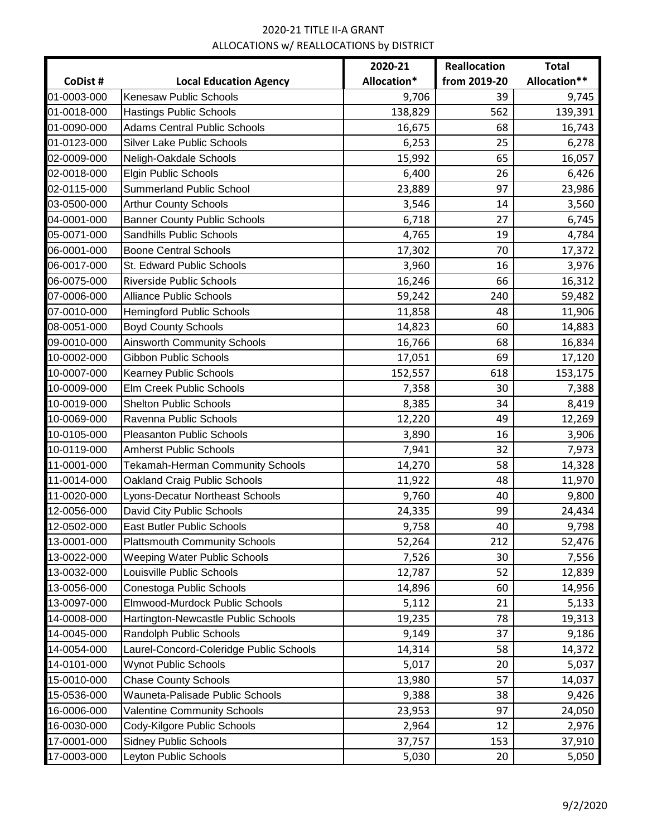|             |                                         | 2020-21     | Reallocation | <b>Total</b> |
|-------------|-----------------------------------------|-------------|--------------|--------------|
| CoDist #    | <b>Local Education Agency</b>           | Allocation* | from 2019-20 | Allocation** |
| 01-0003-000 | <b>Kenesaw Public Schools</b>           | 9,706       | 39           | 9,745        |
| 01-0018-000 | <b>Hastings Public Schools</b>          | 138,829     | 562          | 139,391      |
| 01-0090-000 | <b>Adams Central Public Schools</b>     | 16,675      | 68           | 16,743       |
| 01-0123-000 | <b>Silver Lake Public Schools</b>       | 6,253       | 25           | 6,278        |
| 02-0009-000 | Neligh-Oakdale Schools                  | 15,992      | 65           | 16,057       |
| 02-0018-000 | <b>Elgin Public Schools</b>             | 6,400       | 26           | 6,426        |
| 02-0115-000 | <b>Summerland Public School</b>         | 23,889      | 97           | 23,986       |
| 03-0500-000 | <b>Arthur County Schools</b>            | 3,546       | 14           | 3,560        |
| 04-0001-000 | <b>Banner County Public Schools</b>     | 6,718       | 27           | 6,745        |
| 05-0071-000 | Sandhills Public Schools                | 4,765       | 19           | 4,784        |
| 06-0001-000 | <b>Boone Central Schools</b>            | 17,302      | 70           | 17,372       |
| 06-0017-000 | St. Edward Public Schools               | 3,960       | 16           | 3,976        |
| 06-0075-000 | Riverside Public Schools                | 16,246      | 66           | 16,312       |
| 07-0006-000 | <b>Alliance Public Schools</b>          | 59,242      | 240          | 59,482       |
| 07-0010-000 | <b>Hemingford Public Schools</b>        | 11,858      | 48           | 11,906       |
| 08-0051-000 | <b>Boyd County Schools</b>              | 14,823      | 60           | 14,883       |
| 09-0010-000 | <b>Ainsworth Community Schools</b>      | 16,766      | 68           | 16,834       |
| 10-0002-000 | Gibbon Public Schools                   | 17,051      | 69           | 17,120       |
| 10-0007-000 | Kearney Public Schools                  | 152,557     | 618          | 153,175      |
| 10-0009-000 | Elm Creek Public Schools                | 7,358       | 30           | 7,388        |
| 10-0019-000 | <b>Shelton Public Schools</b>           | 8,385       | 34           | 8,419        |
| 10-0069-000 | Ravenna Public Schools                  | 12,220      | 49           | 12,269       |
| 10-0105-000 | <b>Pleasanton Public Schools</b>        | 3,890       | 16           | 3,906        |
| 10-0119-000 | <b>Amherst Public Schools</b>           | 7,941       | 32           | 7,973        |
| 11-0001-000 | <b>Tekamah-Herman Community Schools</b> | 14,270      | 58           | 14,328       |
| 11-0014-000 | Oakland Craig Public Schools            | 11,922      | 48           | 11,970       |
| 11-0020-000 | Lyons-Decatur Northeast Schools         | 9,760       | 40           | 9,800        |
| 12-0056-000 | David City Public Schools               | 24,335      | 99           | 24,434       |
| 12-0502-000 | East Butler Public Schools              | 9,758       | 40           | 9,798        |
| 13-0001-000 | <b>Plattsmouth Community Schools</b>    | 52,264      | 212          | 52,476       |
| 13-0022-000 | <b>Weeping Water Public Schools</b>     | 7,526       | 30           | 7,556        |
| 13-0032-000 | Louisville Public Schools               | 12,787      | 52           | 12,839       |
| 13-0056-000 | Conestoga Public Schools                | 14,896      | 60           | 14,956       |
| 13-0097-000 | Elmwood-Murdock Public Schools          | 5,112       | 21           | 5,133        |
| 14-0008-000 | Hartington-Newcastle Public Schools     | 19,235      | 78           | 19,313       |
| 14-0045-000 | Randolph Public Schools                 | 9,149       | 37           | 9,186        |
| 14-0054-000 | Laurel-Concord-Coleridge Public Schools | 14,314      | 58           | 14,372       |
| 14-0101-000 | <b>Wynot Public Schools</b>             | 5,017       | 20           | 5,037        |
| 15-0010-000 | <b>Chase County Schools</b>             | 13,980      | 57           | 14,037       |
| 15-0536-000 | Wauneta-Palisade Public Schools         | 9,388       | 38           | 9,426        |
| 16-0006-000 | <b>Valentine Community Schools</b>      | 23,953      | 97           | 24,050       |
| 16-0030-000 | Cody-Kilgore Public Schools             | 2,964       | 12           | 2,976        |
| 17-0001-000 | <b>Sidney Public Schools</b>            | 37,757      | 153          | 37,910       |
| 17-0003-000 | Leyton Public Schools                   | 5,030       | 20           | 5,050        |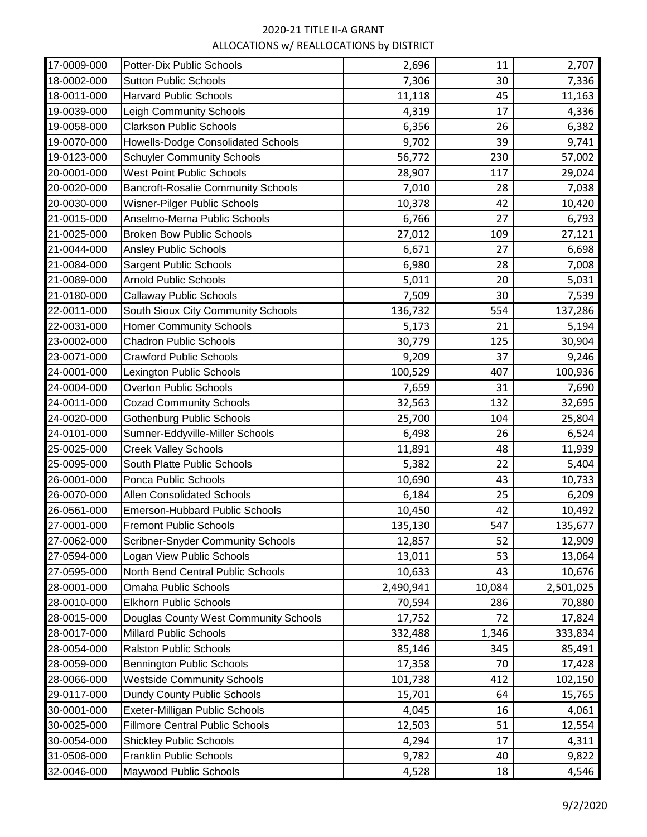| 17-0009-000 | <b>Potter-Dix Public Schools</b>          | 2,696     | 11     | 2,707     |
|-------------|-------------------------------------------|-----------|--------|-----------|
| 18-0002-000 | <b>Sutton Public Schools</b>              | 7,306     | 30     | 7,336     |
| 18-0011-000 | <b>Harvard Public Schools</b>             | 11,118    | 45     | 11,163    |
| 19-0039-000 | Leigh Community Schools                   | 4,319     | 17     | 4,336     |
| 19-0058-000 | <b>Clarkson Public Schools</b>            | 6,356     | 26     | 6,382     |
| 19-0070-000 | Howells-Dodge Consolidated Schools        | 9,702     | 39     | 9,741     |
| 19-0123-000 | <b>Schuyler Community Schools</b>         | 56,772    | 230    | 57,002    |
| 20-0001-000 | <b>West Point Public Schools</b>          | 28,907    | 117    | 29,024    |
| 20-0020-000 | <b>Bancroft-Rosalie Community Schools</b> | 7,010     | 28     | 7,038     |
| 20-0030-000 | Wisner-Pilger Public Schools              | 10,378    | 42     | 10,420    |
| 21-0015-000 | Anselmo-Merna Public Schools              | 6,766     | 27     | 6,793     |
| 21-0025-000 | <b>Broken Bow Public Schools</b>          | 27,012    | 109    | 27,121    |
| 21-0044-000 | <b>Ansley Public Schools</b>              | 6,671     | 27     | 6,698     |
| 21-0084-000 | <b>Sargent Public Schools</b>             | 6,980     | 28     | 7,008     |
| 21-0089-000 | <b>Arnold Public Schools</b>              | 5,011     | 20     | 5,031     |
| 21-0180-000 | <b>Callaway Public Schools</b>            | 7,509     | 30     | 7,539     |
| 22-0011-000 | South Sioux City Community Schools        | 136,732   | 554    | 137,286   |
| 22-0031-000 | <b>Homer Community Schools</b>            | 5,173     | 21     | 5,194     |
| 23-0002-000 | <b>Chadron Public Schools</b>             | 30,779    | 125    | 30,904    |
| 23-0071-000 | <b>Crawford Public Schools</b>            | 9,209     | 37     | 9,246     |
| 24-0001-000 | Lexington Public Schools                  | 100,529   | 407    | 100,936   |
| 24-0004-000 | <b>Overton Public Schools</b>             | 7,659     | 31     | 7,690     |
| 24-0011-000 | <b>Cozad Community Schools</b>            | 32,563    | 132    | 32,695    |
| 24-0020-000 | <b>Gothenburg Public Schools</b>          | 25,700    | 104    | 25,804    |
| 24-0101-000 | Sumner-Eddyville-Miller Schools           | 6,498     | 26     | 6,524     |
| 25-0025-000 | <b>Creek Valley Schools</b>               | 11,891    | 48     | 11,939    |
| 25-0095-000 | South Platte Public Schools               | 5,382     | 22     | 5,404     |
| 26-0001-000 | Ponca Public Schools                      | 10,690    | 43     | 10,733    |
| 26-0070-000 | <b>Allen Consolidated Schools</b>         | 6,184     | 25     | 6,209     |
| 26-0561-000 | <b>Emerson-Hubbard Public Schools</b>     | 10,450    | 42     | 10,492    |
| 27-0001-000 | <b>Fremont Public Schools</b>             | 135,130   | 547    | 135,677   |
| 27-0062-000 | <b>Scribner-Snyder Community Schools</b>  | 12,857    | 52     | 12,909    |
| 27-0594-000 | Logan View Public Schools                 | 13,011    | 53     | 13,064    |
| 27-0595-000 | North Bend Central Public Schools         | 10,633    | 43     | 10,676    |
| 28-0001-000 | <b>Omaha Public Schools</b>               | 2,490,941 | 10,084 | 2,501,025 |
| 28-0010-000 | <b>Elkhorn Public Schools</b>             | 70,594    | 286    | 70,880    |
| 28-0015-000 | Douglas County West Community Schools     | 17,752    | 72     | 17,824    |
| 28-0017-000 | <b>Millard Public Schools</b>             | 332,488   | 1,346  | 333,834   |
| 28-0054-000 | <b>Ralston Public Schools</b>             | 85,146    | 345    | 85,491    |
| 28-0059-000 | <b>Bennington Public Schools</b>          | 17,358    | 70     | 17,428    |
| 28-0066-000 | <b>Westside Community Schools</b>         | 101,738   | 412    | 102,150   |
| 29-0117-000 | Dundy County Public Schools               | 15,701    | 64     | 15,765    |
| 30-0001-000 | Exeter-Milligan Public Schools            | 4,045     | 16     | 4,061     |
| 30-0025-000 | <b>Fillmore Central Public Schools</b>    | 12,503    | 51     | 12,554    |
| 30-0054-000 | <b>Shickley Public Schools</b>            | 4,294     | 17     | 4,311     |
| 31-0506-000 | <b>Franklin Public Schools</b>            | 9,782     | 40     | 9,822     |
| 32-0046-000 | Maywood Public Schools                    | 4,528     | 18     | 4,546     |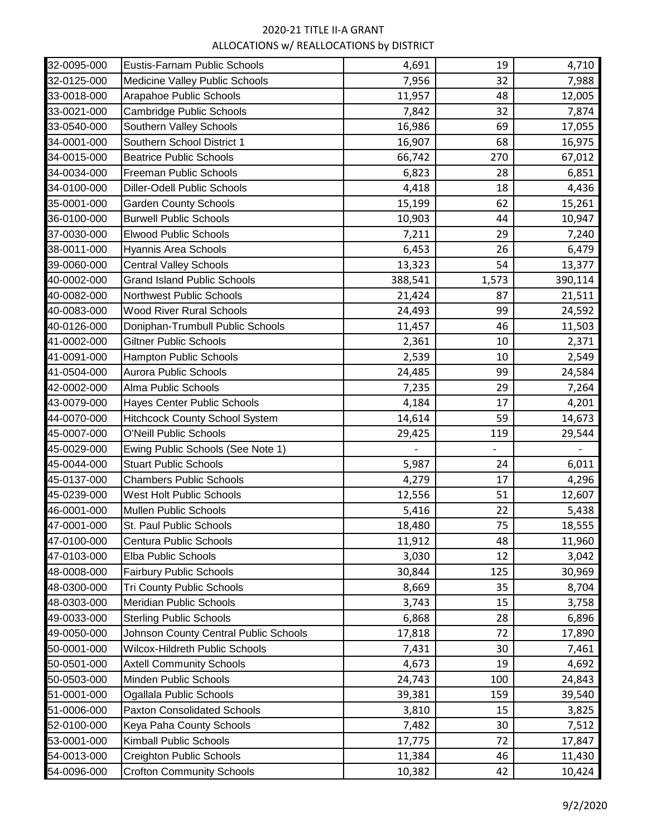| 32-0095-000 | Eustis-Farnam Public Schools          | 4,691   | 19    | 4,710   |
|-------------|---------------------------------------|---------|-------|---------|
| 32-0125-000 | Medicine Valley Public Schools        | 7,956   | 32    | 7,988   |
| 33-0018-000 | Arapahoe Public Schools               | 11,957  | 48    | 12,005  |
| 33-0021-000 | <b>Cambridge Public Schools</b>       | 7,842   | 32    | 7,874   |
| 33-0540-000 | Southern Valley Schools               | 16,986  | 69    | 17,055  |
| 34-0001-000 | Southern School District 1            | 16,907  | 68    | 16,975  |
| 34-0015-000 | <b>Beatrice Public Schools</b>        | 66,742  | 270   | 67,012  |
| 34-0034-000 | Freeman Public Schools                | 6,823   | 28    | 6,851   |
| 34-0100-000 | <b>Diller-Odell Public Schools</b>    | 4,418   | 18    | 4,436   |
| 35-0001-000 | <b>Garden County Schools</b>          | 15,199  | 62    | 15,261  |
| 36-0100-000 | <b>Burwell Public Schools</b>         | 10,903  | 44    | 10,947  |
| 37-0030-000 | <b>Elwood Public Schools</b>          | 7,211   | 29    | 7,240   |
| 38-0011-000 | Hyannis Area Schools                  | 6,453   | 26    | 6,479   |
| 39-0060-000 | <b>Central Valley Schools</b>         | 13,323  | 54    | 13,377  |
| 40-0002-000 | <b>Grand Island Public Schools</b>    | 388,541 | 1,573 | 390,114 |
| 40-0082-000 | <b>Northwest Public Schools</b>       | 21,424  | 87    | 21,511  |
| 40-0083-000 | <b>Wood River Rural Schools</b>       | 24,493  | 99    | 24,592  |
| 40-0126-000 | Doniphan-Trumbull Public Schools      | 11,457  | 46    | 11,503  |
| 41-0002-000 | <b>Giltner Public Schools</b>         | 2,361   | 10    | 2,371   |
| 41-0091-000 | Hampton Public Schools                | 2,539   | 10    | 2,549   |
| 41-0504-000 | Aurora Public Schools                 | 24,485  | 99    | 24,584  |
| 42-0002-000 | Alma Public Schools                   | 7,235   | 29    | 7,264   |
| 43-0079-000 | Hayes Center Public Schools           | 4,184   | 17    | 4,201   |
| 44-0070-000 | <b>Hitchcock County School System</b> | 14,614  | 59    | 14,673  |
| 45-0007-000 | <b>O'Neill Public Schools</b>         | 29,425  | 119   | 29,544  |
| 45-0029-000 | Ewing Public Schools (See Note 1)     |         |       |         |
| 45-0044-000 | <b>Stuart Public Schools</b>          | 5,987   | 24    | 6,011   |
| 45-0137-000 | <b>Chambers Public Schools</b>        | 4,279   | 17    | 4,296   |
| 45-0239-000 | West Holt Public Schools              | 12,556  | 51    | 12,607  |
| 46-0001-000 | Mullen Public Schools                 | 5,416   | 22    | 5,438   |
| 47-0001-000 | St. Paul Public Schools               | 18,480  | 75    | 18,555  |
| 47-0100-000 | Centura Public Schools                | 11,912  | 48    | 11,960  |
| 47-0103-000 | Elba Public Schools                   | 3,030   | 12    | 3,042   |
| 48-0008-000 | <b>Fairbury Public Schools</b>        | 30,844  | 125   | 30,969  |
| 48-0300-000 | <b>Tri County Public Schools</b>      | 8,669   | 35    | 8,704   |
| 48-0303-000 | Meridian Public Schools               | 3,743   | 15    | 3,758   |
| 49-0033-000 | <b>Sterling Public Schools</b>        | 6,868   | 28    | 6,896   |
| 49-0050-000 | Johnson County Central Public Schools | 17,818  | 72    | 17,890  |
| 50-0001-000 | Wilcox-Hildreth Public Schools        | 7,431   | 30    | 7,461   |
| 50-0501-000 | <b>Axtell Community Schools</b>       | 4,673   | 19    | 4,692   |
| 50-0503-000 | Minden Public Schools                 | 24,743  | 100   | 24,843  |
| 51-0001-000 | Ogallala Public Schools               | 39,381  | 159   | 39,540  |
| 51-0006-000 | <b>Paxton Consolidated Schools</b>    | 3,810   | 15    | 3,825   |
| 52-0100-000 | Keya Paha County Schools              | 7,482   | 30    | 7,512   |
| 53-0001-000 | Kimball Public Schools                | 17,775  | 72    | 17,847  |
| 54-0013-000 | <b>Creighton Public Schools</b>       | 11,384  | 46    | 11,430  |
| 54-0096-000 | <b>Crofton Community Schools</b>      | 10,382  | 42    | 10,424  |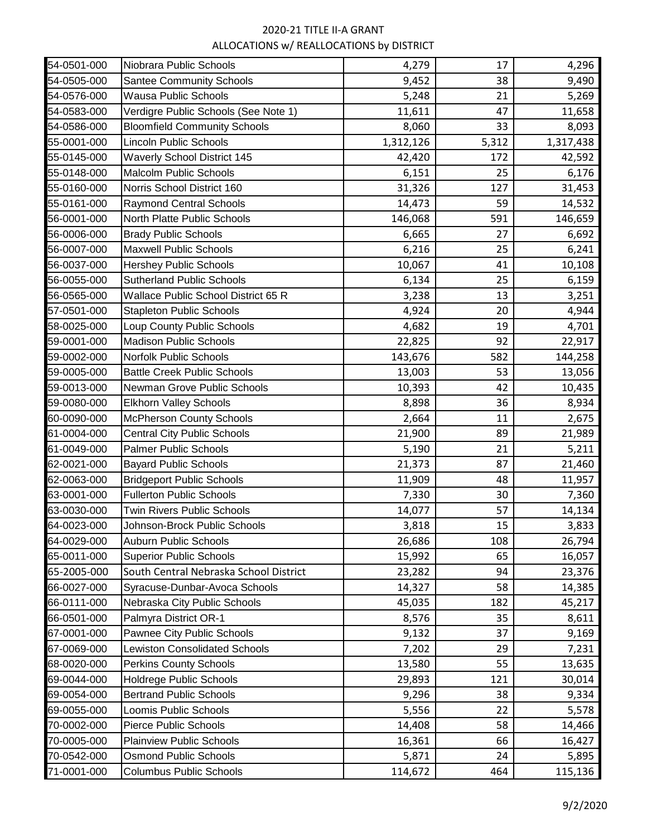| 54-0501-000 | Niobrara Public Schools                | 4,279     | 17    | 4,296     |
|-------------|----------------------------------------|-----------|-------|-----------|
| 54-0505-000 | <b>Santee Community Schools</b>        | 9,452     | 38    | 9,490     |
| 54-0576-000 | <b>Wausa Public Schools</b>            | 5,248     | 21    | 5,269     |
| 54-0583-000 | Verdigre Public Schools (See Note 1)   | 11,611    | 47    | 11,658    |
| 54-0586-000 | <b>Bloomfield Community Schools</b>    | 8,060     | 33    | 8,093     |
| 55-0001-000 | <b>Lincoln Public Schools</b>          | 1,312,126 | 5,312 | 1,317,438 |
| 55-0145-000 | <b>Waverly School District 145</b>     | 42,420    | 172   | 42,592    |
| 55-0148-000 | <b>Malcolm Public Schools</b>          | 6,151     | 25    | 6,176     |
| 55-0160-000 | Norris School District 160             | 31,326    | 127   | 31,453    |
| 55-0161-000 | <b>Raymond Central Schools</b>         | 14,473    | 59    | 14,532    |
| 56-0001-000 | North Platte Public Schools            | 146,068   | 591   | 146,659   |
| 56-0006-000 | <b>Brady Public Schools</b>            | 6,665     | 27    | 6,692     |
| 56-0007-000 | <b>Maxwell Public Schools</b>          | 6,216     | 25    | 6,241     |
| 56-0037-000 | <b>Hershey Public Schools</b>          | 10,067    | 41    | 10,108    |
| 56-0055-000 | <b>Sutherland Public Schools</b>       | 6,134     | 25    | 6,159     |
| 56-0565-000 | Wallace Public School District 65 R    | 3,238     | 13    | 3,251     |
| 57-0501-000 | <b>Stapleton Public Schools</b>        | 4,924     | 20    | 4,944     |
| 58-0025-000 | Loup County Public Schools             | 4,682     | 19    | 4,701     |
| 59-0001-000 | <b>Madison Public Schools</b>          | 22,825    | 92    | 22,917    |
| 59-0002-000 | Norfolk Public Schools                 | 143,676   | 582   | 144,258   |
| 59-0005-000 | <b>Battle Creek Public Schools</b>     | 13,003    | 53    | 13,056    |
| 59-0013-000 | Newman Grove Public Schools            | 10,393    | 42    | 10,435    |
| 59-0080-000 | <b>Elkhorn Valley Schools</b>          | 8,898     | 36    | 8,934     |
| 60-0090-000 | <b>McPherson County Schools</b>        | 2,664     | 11    | 2,675     |
| 61-0004-000 | <b>Central City Public Schools</b>     | 21,900    | 89    | 21,989    |
| 61-0049-000 | <b>Palmer Public Schools</b>           | 5,190     | 21    | 5,211     |
| 62-0021-000 | <b>Bayard Public Schools</b>           | 21,373    | 87    | 21,460    |
| 62-0063-000 | <b>Bridgeport Public Schools</b>       | 11,909    | 48    | 11,957    |
| 63-0001-000 | <b>Fullerton Public Schools</b>        | 7,330     | 30    | 7,360     |
| 63-0030-000 | Twin Rivers Public Schools             | 14,077    | 57    | 14,134    |
| 64-0023-000 | Johnson-Brock Public Schools           | 3,818     | 15    | 3,833     |
| 64-0029-000 | <b>Auburn Public Schools</b>           | 26,686    | 108   | 26,794    |
| 65-0011-000 | <b>Superior Public Schools</b>         | 15,992    | 65    | 16,057    |
| 65-2005-000 | South Central Nebraska School District | 23,282    | 94    | 23,376    |
| 66-0027-000 | Syracuse-Dunbar-Avoca Schools          | 14,327    | 58    | 14,385    |
| 66-0111-000 | Nebraska City Public Schools           | 45,035    | 182   | 45,217    |
| 66-0501-000 | Palmyra District OR-1                  | 8,576     | 35    | 8,611     |
| 67-0001-000 | Pawnee City Public Schools             | 9,132     | 37    | 9,169     |
| 67-0069-000 | <b>Lewiston Consolidated Schools</b>   | 7,202     | 29    | 7,231     |
| 68-0020-000 | <b>Perkins County Schools</b>          | 13,580    | 55    | 13,635    |
| 69-0044-000 | <b>Holdrege Public Schools</b>         | 29,893    | 121   | 30,014    |
| 69-0054-000 | <b>Bertrand Public Schools</b>         | 9,296     | 38    | 9,334     |
| 69-0055-000 | Loomis Public Schools                  | 5,556     | 22    | 5,578     |
| 70-0002-000 | <b>Pierce Public Schools</b>           | 14,408    | 58    | 14,466    |
| 70-0005-000 | <b>Plainview Public Schools</b>        | 16,361    | 66    | 16,427    |
| 70-0542-000 | <b>Osmond Public Schools</b>           | 5,871     | 24    | 5,895     |
| 71-0001-000 | <b>Columbus Public Schools</b>         | 114,672   | 464   | 115,136   |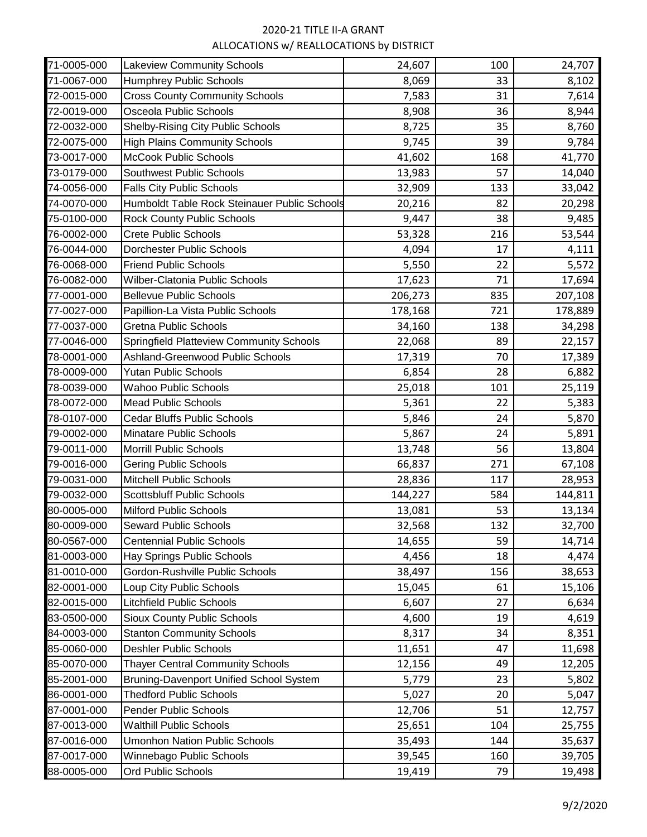| 71-0005-000 | <b>Lakeview Community Schools</b>               | 24,607  | 100 | 24,707  |
|-------------|-------------------------------------------------|---------|-----|---------|
| 71-0067-000 | <b>Humphrey Public Schools</b>                  | 8,069   | 33  | 8,102   |
| 72-0015-000 | <b>Cross County Community Schools</b>           | 7,583   | 31  | 7,614   |
| 72-0019-000 | Osceola Public Schools                          | 8,908   | 36  | 8,944   |
| 72-0032-000 | <b>Shelby-Rising City Public Schools</b>        | 8,725   | 35  | 8,760   |
| 72-0075-000 | <b>High Plains Community Schools</b>            | 9,745   | 39  | 9,784   |
| 73-0017-000 | <b>McCook Public Schools</b>                    | 41,602  | 168 | 41,770  |
| 73-0179-000 | Southwest Public Schools                        | 13,983  | 57  | 14,040  |
| 74-0056-000 | <b>Falls City Public Schools</b>                | 32,909  | 133 | 33,042  |
| 74-0070-000 | Humboldt Table Rock Steinauer Public Schools    | 20,216  | 82  | 20,298  |
| 75-0100-000 | <b>Rock County Public Schools</b>               | 9,447   | 38  | 9,485   |
| 76-0002-000 | <b>Crete Public Schools</b>                     | 53,328  | 216 | 53,544  |
| 76-0044-000 | <b>Dorchester Public Schools</b>                | 4,094   | 17  | 4,111   |
| 76-0068-000 | <b>Friend Public Schools</b>                    | 5,550   | 22  | 5,572   |
| 76-0082-000 | Wilber-Clatonia Public Schools                  | 17,623  | 71  | 17,694  |
| 77-0001-000 | <b>Bellevue Public Schools</b>                  | 206,273 | 835 | 207,108 |
| 77-0027-000 | Papillion-La Vista Public Schools               | 178,168 | 721 | 178,889 |
| 77-0037-000 | <b>Gretna Public Schools</b>                    | 34,160  | 138 | 34,298  |
| 77-0046-000 | <b>Springfield Platteview Community Schools</b> | 22,068  | 89  | 22,157  |
| 78-0001-000 | Ashland-Greenwood Public Schools                | 17,319  | 70  | 17,389  |
| 78-0009-000 | <b>Yutan Public Schools</b>                     | 6,854   | 28  | 6,882   |
| 78-0039-000 | <b>Wahoo Public Schools</b>                     | 25,018  | 101 | 25,119  |
| 78-0072-000 | <b>Mead Public Schools</b>                      | 5,361   | 22  | 5,383   |
| 78-0107-000 | <b>Cedar Bluffs Public Schools</b>              | 5,846   | 24  | 5,870   |
| 79-0002-000 | Minatare Public Schools                         | 5,867   | 24  | 5,891   |
| 79-0011-000 | Morrill Public Schools                          | 13,748  | 56  | 13,804  |
| 79-0016-000 | <b>Gering Public Schools</b>                    | 66,837  | 271 | 67,108  |
| 79-0031-000 | Mitchell Public Schools                         | 28,836  | 117 | 28,953  |
| 79-0032-000 | <b>Scottsbluff Public Schools</b>               | 144,227 | 584 | 144,811 |
| 80-0005-000 | <b>Milford Public Schools</b>                   | 13,081  | 53  | 13,134  |
| 80-0009-000 | Seward Public Schools                           | 32,568  | 132 | 32,700  |
| 80-0567-000 | <b>Centennial Public Schools</b>                | 14,655  | 59  | 14,714  |
| 81-0003-000 | <b>Hay Springs Public Schools</b>               | 4,456   | 18  | 4,474   |
| 81-0010-000 | Gordon-Rushville Public Schools                 | 38,497  | 156 | 38,653  |
| 82-0001-000 | Loup City Public Schools                        | 15,045  | 61  | 15,106  |
| 82-0015-000 | <b>Litchfield Public Schools</b>                | 6,607   | 27  | 6,634   |
| 83-0500-000 | <b>Sioux County Public Schools</b>              | 4,600   | 19  | 4,619   |
| 84-0003-000 | <b>Stanton Community Schools</b>                | 8,317   | 34  | 8,351   |
| 85-0060-000 | <b>Deshler Public Schools</b>                   | 11,651  | 47  | 11,698  |
| 85-0070-000 | <b>Thayer Central Community Schools</b>         | 12,156  | 49  | 12,205  |
| 85-2001-000 | <b>Bruning-Davenport Unified School System</b>  | 5,779   | 23  | 5,802   |
| 86-0001-000 | <b>Thedford Public Schools</b>                  | 5,027   | 20  | 5,047   |
| 87-0001-000 | Pender Public Schools                           | 12,706  | 51  | 12,757  |
| 87-0013-000 | <b>Walthill Public Schools</b>                  | 25,651  | 104 | 25,755  |
| 87-0016-000 | <b>Umonhon Nation Public Schools</b>            | 35,493  | 144 | 35,637  |
| 87-0017-000 | Winnebago Public Schools                        | 39,545  | 160 | 39,705  |
| 88-0005-000 | <b>Ord Public Schools</b>                       | 19,419  | 79  | 19,498  |